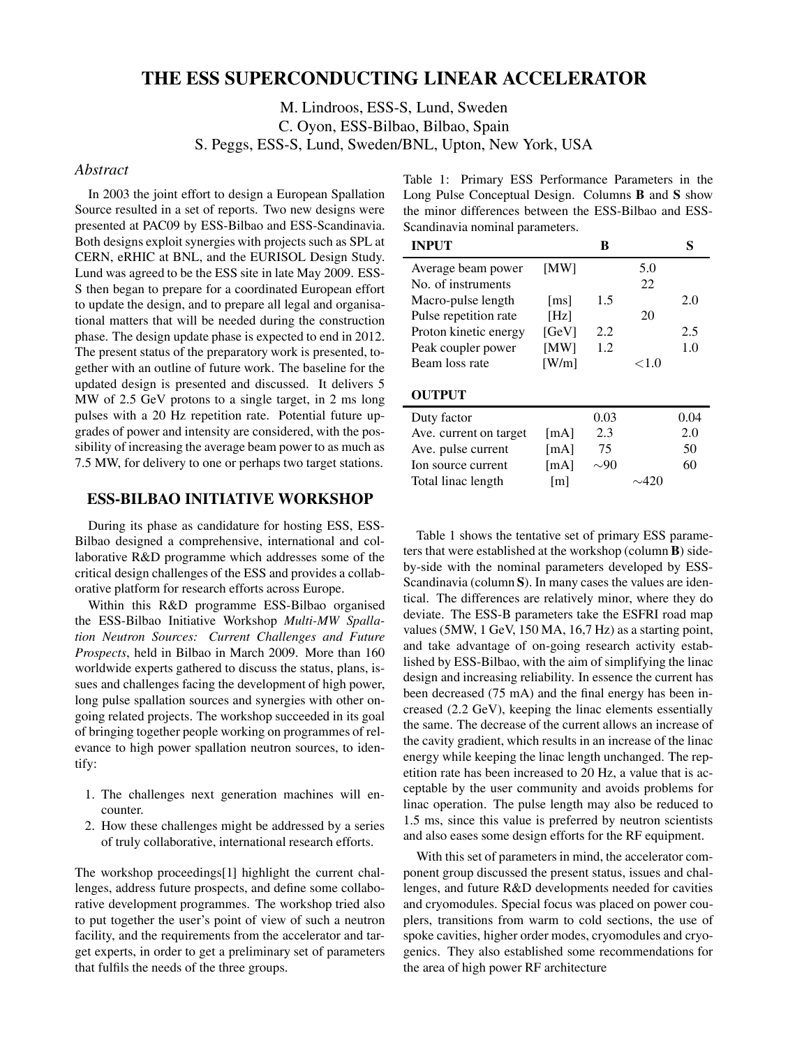# **THE ESS SUPERCONDUCTING LINEAR ACCELERATOR**

M. Lindroos, ESS-S, Lund, Sweden C. Oyon, ESS-Bilbao, Bilbao, Spain

S. Peggs, ESS-S, Lund, Sweden/BNL, Upton, New York, USA

#### *Abstract*

In 2003 the joint effort to design a European Spallation Source resulted in a set of reports. Two new designs were presented at PAC09 by ESS-Bilbao and ESS-Scandinavia. Both designs exploit synergies with projects such as SPL at CERN, eRHIC at BNL, and the EURISOL Design Study. Lund was agreed to be the ESS site in late May 2009. ESS-S then began to prepare for a coordinated European effort to update the design, and to prepare all legal and organisational matters that will be needed during the construction phase. The design update phase is expected to end in 2012. The present status of the preparatory work is presented, together with an outline of future work. The baseline for the updated design is presented and discussed. It delivers 5 MW of 2.5 GeV protons to a single target, in 2 ms long pulses with a 20 Hz repetition rate. Potential future upgrades of power and intensity are considered, with the possibility of increasing the average beam power to as much as 7.5 MW, for delivery to one or perhaps two target stations.

# **ESS-BILBAO INITIATIVE WORKSHOP**

During its phase as candidature for hosting ESS, ESS-Bilbao designed a comprehensive, international and collaborative R&D programme which addresses some of the critical design challenges of the ESS and provides a collaborative platform for research efforts across Europe.

Within this R&D programme ESS-Bilbao organised the ESS-Bilbao Initiative Workshop *Multi-MW Spallation Neutron Sources: Current Challenges and Future Prospects*, held in Bilbao in March 2009. More than 160 worldwide experts gathered to discuss the status, plans, issues and challenges facing the development of high power, long pulse spallation sources and synergies with other ongoing related projects. The workshop succeeded in its goal of bringing together people working on programmes of relevance to high power spallation neutron sources, to identify:

- 1. The challenges next generation machines will encounter.
- 2. How these challenges might be addressed by a series of truly collaborative, international research efforts.

The workshop proceedings[1] highlight the current challenges, address future prospects, and define some collaborative development programmes. The workshop tried also to put together the user's point of view of such a neutron facility, and the requirements from the accelerator and target experts, in order to get a preliminary set of parameters that fulfils the needs of the three groups.

Table 1: Primary ESS Performance Parameters in the Long Pulse Conceptual Design. Columns **B** and **S** show the minor differences between the ESS-Bilbao and ESS-Scandinavia nominal parameters.

| <b>INPUT</b>           |                    | в         |          | S    |
|------------------------|--------------------|-----------|----------|------|
| Average beam power     | [MW]               |           | 5.0      |      |
| No. of instruments     |                    |           | 22       |      |
| Macro-pulse length     | $\lceil ms \rceil$ | 1.5       |          | 2.0  |
| Pulse repetition rate  | [Hz]               |           | 20       |      |
| Proton kinetic energy  | [GeV]              | 2.2       |          | 2.5  |
| Peak coupler power     | [MW]               | 1.2       |          | 1.0  |
| Beam loss rate         | [W/m]              |           | ${<}1.0$ |      |
| <b>OUTPUT</b>          |                    |           |          |      |
| Duty factor            |                    | 0.03      |          | 0.04 |
| Ave. current on target | [mA]               | 2.3       |          | 2.0  |
| Ave. pulse current     | [mA]               | 75        |          | 50   |
| Ion source current     | [mA]               | $\sim 90$ |          | 60   |
| Total linac length     | $\lceil m \rceil$  |           | 420ء     |      |

Table 1 shows the tentative set of primary ESS parameters that were established at the workshop (column **B**) sideby-side with the nominal parameters developed by ESS-Scandinavia (column **S**). In many cases the values are identical. The differences are relatively minor, where they do deviate. The ESS-B parameters take the ESFRI road map values (5MW, 1 GeV, 150 MA, 16,7 Hz) as a starting point, and take advantage of on-going research activity established by ESS-Bilbao, with the aim of simplifying the linac design and increasing reliability. In essence the current has been decreased (75 mA) and the final energy has been increased (2.2 GeV), keeping the linac elements essentially the same. The decrease of the current allows an increase of the cavity gradient, which results in an increase of the linac energy while keeping the linac length unchanged. The repetition rate has been increased to 20 Hz, a value that is acceptable by the user community and avoids problems for linac operation. The pulse length may also be reduced to 1.5 ms, since this value is preferred by neutron scientists and also eases some design efforts for the RF equipment.

With this set of parameters in mind, the accelerator component group discussed the present status, issues and challenges, and future R&D developments needed for cavities and cryomodules. Special focus was placed on power couplers, transitions from warm to cold sections, the use of spoke cavities, higher order modes, cryomodules and cryogenics. They also established some recommendations for the area of high power RF architecture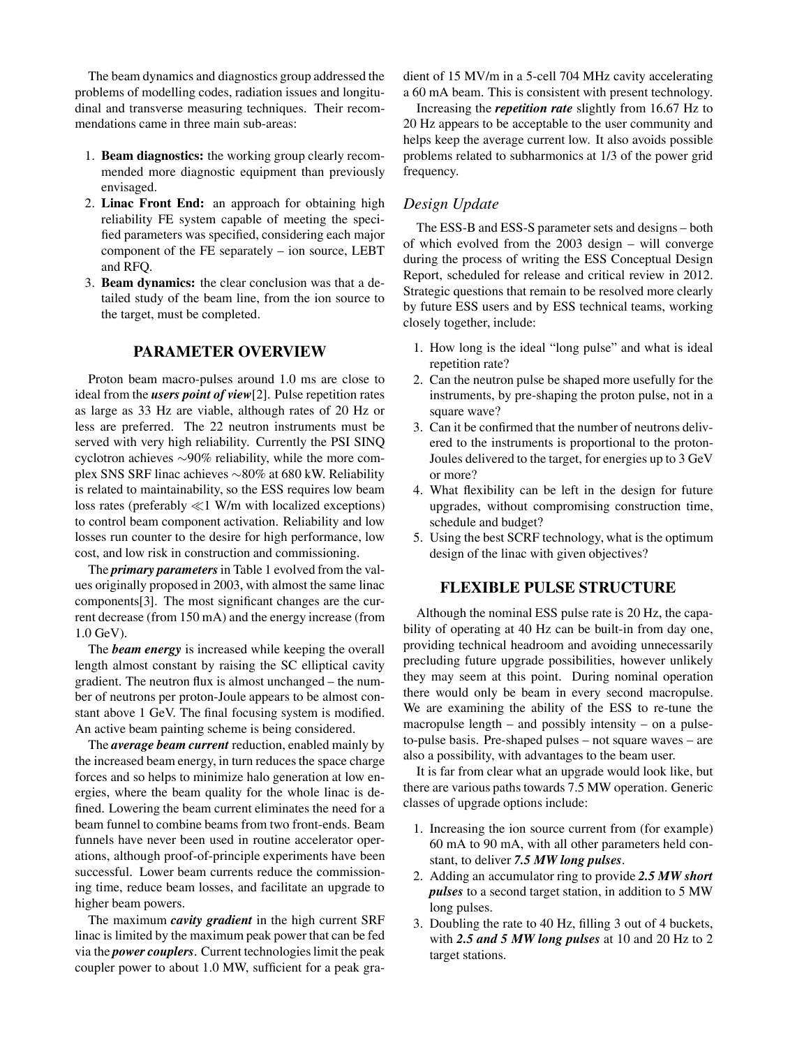The beam dynamics and diagnostics group addressed the problems of modelling codes, radiation issues and longitudinal and transverse measuring techniques. Their recommendations came in three main sub-areas:

- 1. **Beam diagnostics:** the working group clearly recommended more diagnostic equipment than previously envisaged.
- 2. **Linac Front End:** an approach for obtaining high reliability FE system capable of meeting the speci fied parameters was specified, considering each major component of the FE separately – ion source, LEBT and RFQ.
- 3. **Beam dynamics:** the clear conclusion was that a detailed study of the beam line, from the ion source to the target, must be completed.

#### **PARAMETER OVERVIEW**

Proton beam macro-pulses around 1.0 ms are close to ideal from the *users point of view*[2]. Pulse repetition rates as large as 33 Hz are viable, although rates of 20 Hz or less are preferred. The 22 neutron instruments must be served with very high reliability. Currently the PSI SINQ cyclotron achieves ∼90% reliability, while the more complex SNS SRF linac achieves ∼80% at 680 kW. Reliability is related to maintainability, so the ESS requires low beam loss rates (preferably ≪1 W/m with localized exceptions) to control beam component activation. Reliability and low losses run counter to the desire for high performance, low cost, and low risk in construction and commissioning.

The *primary parameters*in Table 1 evolved from the values originally proposed in 2003, with almost the same linac components[3]. The most significant changes are the current decrease (from 150 mA) and the energy increase (from 1.0 GeV).

The *beam energy* is increased while keeping the overall length almost constant by raising the SC elliptical cavity gradient. The neutron flux is almost unchanged – the number of neutrons per proton-Joule appears to be almost constant above 1 GeV. The final focusing system is modified. An active beam painting scheme is being considered.

The *average beam current* reduction, enabled mainly by the increased beam energy, in turn reduces the space charge forces and so helps to minimize halo generation at low energies, where the beam quality for the whole linac is de fined. Lowering the beam current eliminates the need for a beam funnel to combine beams from two front-ends. Beam funnels have never been used in routine accelerator operations, although proof-of-principle experiments have been successful. Lower beam currents reduce the commissioning time, reduce beam losses, and facilitate an upgrade to higher beam powers.

The maximum *cavity gradient* in the high current SRF linac is limited by the maximum peak power that can be fed via the *power couplers*. Current technologies limit the peak coupler power to about 1.0 MW, sufficient for a peak gradient of 15 MV/m in a 5-cell 704 MHz cavity accelerating a 60 mA beam. This is consistent with present technology.

Increasing the *repetition rate* slightly from 16.67 Hz to 20 Hz appears to be acceptable to the user community and helps keep the average current low. It also avoids possible problems related to subharmonics at 1/3 of the power grid frequency.

### *Design Update*

The ESS-B and ESS-S parameter sets and designs – both of which evolved from the 2003 design – will converge during the process of writing the ESS Conceptual Design Report, scheduled for release and critical review in 2012. Strategic questions that remain to be resolved more clearly by future ESS users and by ESS technical teams, working closely together, include:

- 1. How long is the ideal "long pulse" and what is ideal repetition rate?
- 2. Can the neutron pulse be shaped more usefully for the instruments, by pre-shaping the proton pulse, not in a square wave?
- 3. Can it be confirmed that the number of neutrons delivered to the instruments is proportional to the proton-Joules delivered to the target, for energies up to 3 GeV or more?
- 4. What flexibility can be left in the design for future upgrades, without compromising construction time, schedule and budget?
- 5. Using the best SCRF technology, what is the optimum design of the linac with given objectives?

### **FLEXIBLE PULSE STRUCTURE**

Although the nominal ESS pulse rate is 20 Hz, the capability of operating at 40 Hz can be built-in from day one, providing technical headroom and avoiding unnecessarily precluding future upgrade possibilities, however unlikely they may seem at this point. During nominal operation there would only be beam in every second macropulse. We are examining the ability of the ESS to re-tune the macropulse length – and possibly intensity – on a pulseto-pulse basis. Pre-shaped pulses – not square waves – are also a possibility, with advantages to the beam user.

It is far from clear what an upgrade would look like, but there are various paths towards 7.5 MW operation. Generic classes of upgrade options include:

- 1. Increasing the ion source current from (for example) 60 mA to 90 mA, with all other parameters held constant, to deliver *7.5 MW long pulses*.
- 2. Adding an accumulator ring to provide *2.5 MW short pulses* to a second target station, in addition to 5 MW long pulses.
- 3. Doubling the rate to 40 Hz, filling 3 out of 4 buckets, with *2.5 and 5 MW long pulses* at 10 and 20 Hz to 2 target stations.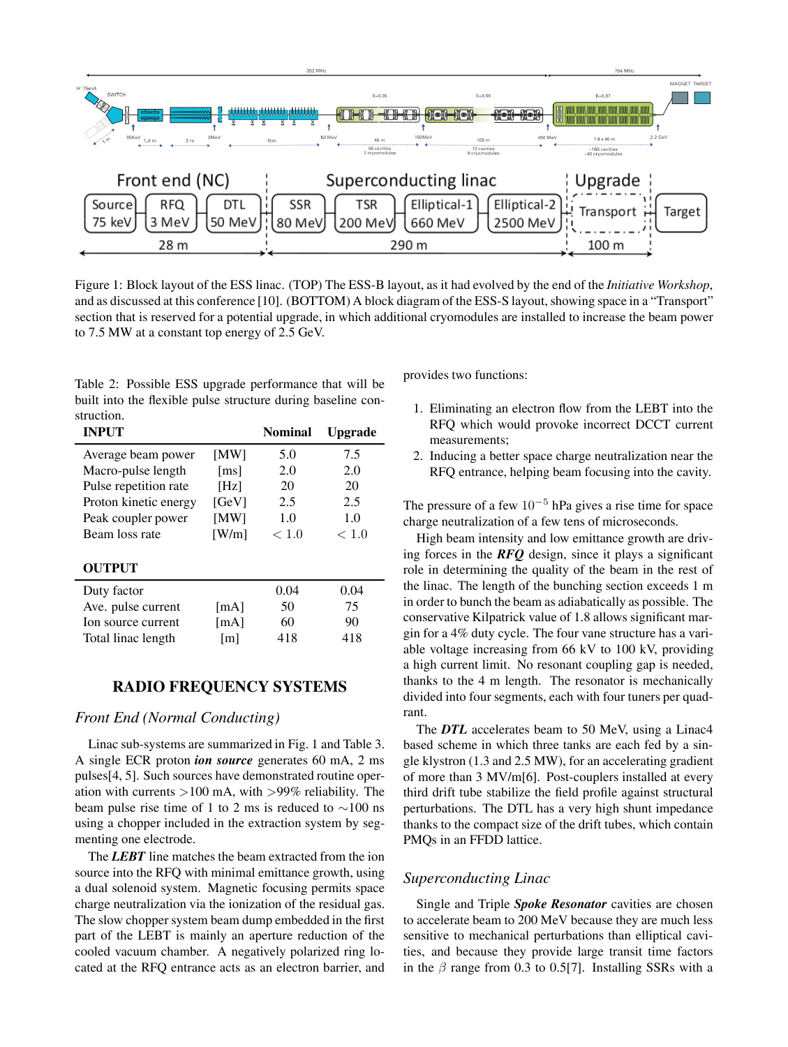

Figure 1: Block layout of the ESS linac. (TOP) The ESS-B layout, as it had evolved by the end of the *Initiative Workshop*, and as discussed at this conference [10]. (BOTTOM) A block diagram of the ESS-S layout, showing space in a "Transport" section that is reserved for a potential upgrade, in which additional cryomodules are installed to increase the beam power to 7.5 MW at a constant top energy of 2.5 GeV.

Table 2: Possible ESS upgrade performance that will be built into the flexible pulse structure during baseline construction.

| <b>INPUT</b>          |                    | Nominal | <b>Upgrade</b> |
|-----------------------|--------------------|---------|----------------|
| Average beam power    | [MW]               | 5.0     | 7.5            |
| Macro-pulse length    | $\lceil ms \rceil$ | 2.0     | 2.0            |
| Pulse repetition rate | [Hz]               | 20      | 20             |
| Proton kinetic energy | [GeV]              | 2.5     | 2.5            |
| Peak coupler power    | [MW]               | 1.0     | 1.0            |
| Beam loss rate        | [W/m]              | < 1.0   | < 1.0          |
| <b>OUTPUT</b>         |                    |         |                |
| Duty factor           |                    | 0.04    | 0.04           |
| Ave. pulse current    | [mA]               | 50      | 75             |
| Ion source current    | [mA]               | 60      | 90             |
| Total linac length    | $\lceil m \rceil$  | 418     | 418            |

### **RADIO FREQUENCY SYSTEMS**

# *Front End (Normal Conducting)*

Linac sub-systems are summarized in Fig. 1 and Table 3. A single ECR proton *ion source* generates 60 mA, 2 ms pulses[4, 5]. Such sources have demonstrated routine operation with currents  $>100$  mA, with  $>99\%$  reliability. The beam pulse rise time of 1 to 2 ms is reduced to  $\sim$ 100 ns using a chopper included in the extraction system by segmenting one electrode.

The *LEBT* line matches the beam extracted from the ion source into the RFQ with minimal emittance growth, using a dual solenoid system. Magnetic focusing permits space charge neutralization via the ionization of the residual gas. The slow chopper system beam dump embedded in the first part of the LEBT is mainly an aperture reduction of the cooled vacuum chamber. A negatively polarized ring located at the RFQ entrance acts as an electron barrier, and provides two functions:

- 1. Eliminating an electron flow from the LEBT into the RFQ which would provoke incorrect DCCT current measurements;
- 2. Inducing a better space charge neutralization near the RFQ entrance, helping beam focusing into the cavity.

The pressure of a few  $10^{-5}$  hPa gives a rise time for space charge neutralization of a few tens of microseconds.

High beam intensity and low emittance growth are driving forces in the  $\mathbb{R}FQ$  design, since it plays a significant role in determining the quality of the beam in the rest of the linac. The length of the bunching section exceeds 1 m in order to bunch the beam as adiabatically as possible. The conservative Kilpatrick value of 1.8 allows signicant margin for a 4% duty cycle. The four vane structure has a variable voltage increasing from 66 kV to 100 kV, providing a high current limit. No resonant coupling gap is needed, thanks to the 4 m length. The resonator is mechanically divided into four segments, each with four tuners per quadrant.

The *DTL* accelerates beam to 50 MeV, using a Linac4 based scheme in which three tanks are each fed by a single klystron (1.3 and 2.5 MW), for an accelerating gradient of more than 3 MV/m[6]. Post-couplers installed at every third drift tube stabilize the field profile against structural perturbations. The DTL has a very high shunt impedance thanks to the compact size of the drift tubes, which contain PMQs in an FFDD lattice.

#### *Superconducting Linac*

Single and Triple *Spoke Resonator* cavities are chosen to accelerate beam to 200 MeV because they are much less sensitive to mechanical perturbations than elliptical cavities, and because they provide large transit time factors in the  $\beta$  range from 0.3 to 0.5[7]. Installing SSRs with a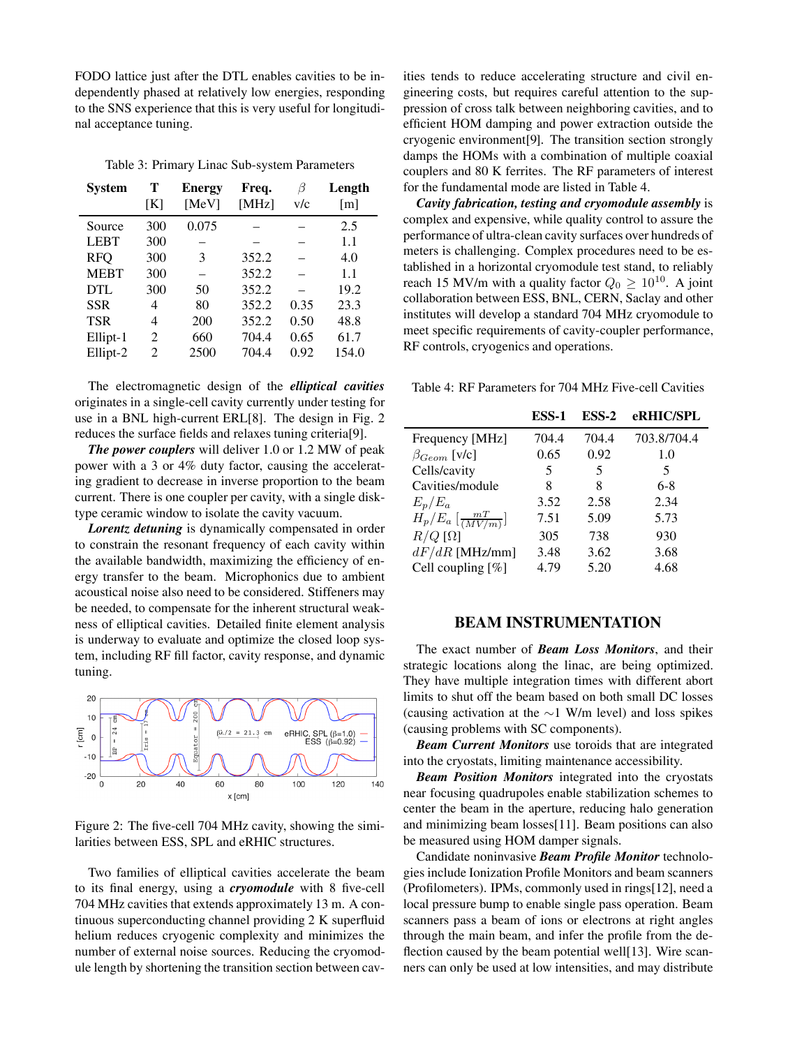FODO lattice just after the DTL enables cavities to be independently phased at relatively low energies, responding to the SNS experience that this is very useful for longitudinal acceptance tuning.

Table 3: Primary Linac Sub-system Parameters

| <b>System</b> | т<br>[K]       | <b>Energy</b><br>[MeV] | Freq.<br>[MHz] | β<br>v/c | Length<br>$\lceil m \rceil$ |
|---------------|----------------|------------------------|----------------|----------|-----------------------------|
| Source        | 300            | 0.075                  |                |          | 2.5                         |
| <b>LEBT</b>   | 300            |                        |                |          | 1.1                         |
| <b>RFQ</b>    | 300            | 3                      | 352.2          |          | 4.0                         |
| <b>MEBT</b>   | 300            |                        | 352.2          |          | 1.1                         |
| DTL           | 300            | 50                     | 352.2          |          | 19.2                        |
| <b>SSR</b>    | 4              | 80                     | 352.2          | 0.35     | 23.3                        |
| <b>TSR</b>    | 4              | 200                    | 352.2          | 0.50     | 48.8                        |
| Ellipt-1      | 2              | 660                    | 704.4          | 0.65     | 61.7                        |
| Ellipt-2      | $\overline{2}$ | 2500                   | 704.4          | 0.92     | 154.0                       |

The electromagnetic design of the *elliptical cavities* originates in a single-cell cavity currently under testing for use in a BNL high-current ERL[8]. The design in Fig. 2 reduces the surface fields and relaxes tuning criteria<sup>[9]</sup>.

*The power couplers* will deliver 1.0 or 1.2 MW of peak power with a 3 or 4% duty factor, causing the accelerating gradient to decrease in inverse proportion to the beam current. There is one coupler per cavity, with a single disktype ceramic window to isolate the cavity vacuum.

*Lorentz detuning* is dynamically compensated in order to constrain the resonant frequency of each cavity within the available bandwidth, maximizing the efficiency of energy transfer to the beam. Microphonics due to ambient acoustical noise also need to be considered. Stiffeners may be needed, to compensate for the inherent structural weakness of elliptical cavities. Detailed finite element analysis is underway to evaluate and optimize the closed loop system, including RF fill factor, cavity response, and dynamic tuning.



Figure 2: The five-cell 704 MHz cavity, showing the similarities between ESS, SPL and eRHIC structures.

Two families of elliptical cavities accelerate the beam to its final energy, using a *cryomodule* with 8 five-cell 704 MHz cavities that extends approximately 13 m. A continuous superconducting channel providing  $2 K$  superfluid helium reduces cryogenic complexity and minimizes the number of external noise sources. Reducing the cryomodule length by shortening the transition section between cavities tends to reduce accelerating structure and civil engineering costs, but requires careful attention to the suppression of cross talk between neighboring cavities, and to efficient HOM damping and power extraction outside the cryogenic environment[9]. The transition section strongly damps the HOMs with a combination of multiple coaxial couplers and 80 K ferrites. The RF parameters of interest for the fundamental mode are listed in Table 4.

*Cavity fabrication, testing and cryomodule assembly* is complex and expensive, while quality control to assure the performance of ultra-clean cavity surfaces over hundreds of meters is challenging. Complex procedures need to be established in a horizontal cryomodule test stand, to reliably reach 15 MV/m with a quality factor  $Q_0 \ge 10^{10}$ . A joint collaboration between ESS, BNL, CERN, Saclay and other institutes will develop a standard 704 MHz cryomodule to meet specific requirements of cavity-coupler performance, RF controls, cryogenics and operations.

Table 4: RF Parameters for 704 MHz Five-cell Cavities

|                                         | ESS-1 | $ESS-2$ | eRHIC/SPL   |
|-----------------------------------------|-------|---------|-------------|
| Frequency [MHz]                         | 704.4 | 704.4   | 703.8/704.4 |
| $\beta_{Geom}$ [v/c]                    | 0.65  | 0.92    | 1.0         |
| Cells/cavity                            | 5     | 5       | 5           |
| Cavities/module                         | 8     | 8       | $6-8$       |
| $E_p/E_a$                               | 3.52  | 2.58    | 2.34        |
| $H_p/E_a\left[\frac{mT}{(MV/m)}\right]$ | 7.51  | 5.09    | 5.73        |
| $R/Q$ [ $\Omega$ ]                      | 305   | 738     | 930         |
| $dF/dR$ [MHz/mm]                        | 3.48  | 3.62    | 3.68        |
| Cell coupling [%]                       | 4.79  | 5.20    | 4.68        |

### **BEAM INSTRUMENTATION**

The exact number of *Beam Loss Monitors*, and their strategic locations along the linac, are being optimized. They have multiple integration times with different abort limits to shut off the beam based on both small DC losses (causing activation at the ∼1 W/m level) and loss spikes (causing problems with SC components).

*Beam Current Monitors* use toroids that are integrated into the cryostats, limiting maintenance accessibility.

*Beam Position Monitors* integrated into the cryostats near focusing quadrupoles enable stabilization schemes to center the beam in the aperture, reducing halo generation and minimizing beam losses[11]. Beam positions can also be measured using HOM damper signals.

Candidate noninvasive **Beam Profile Monitor** technologies include Ionization Profile Monitors and beam scanners (Profilometers). IPMs, commonly used in rings[12], need a local pressure bump to enable single pass operation. Beam scanners pass a beam of ions or electrons at right angles through the main beam, and infer the profile from the deflection caused by the beam potential well[13]. Wire scanners can only be used at low intensities, and may distribute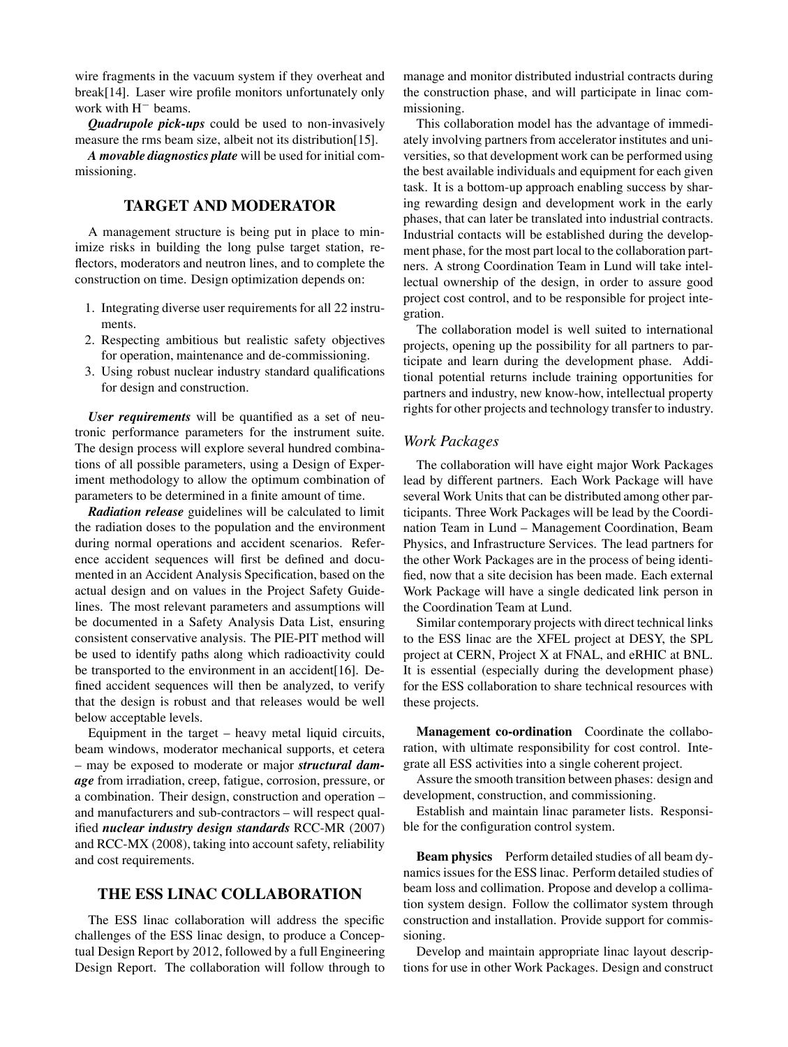wire fragments in the vacuum system if they overheat and break[14]. Laser wire profile monitors unfortunately only work with H<sup>−</sup> beams.

*Quadrupole pick-ups* could be used to non-invasively measure the rms beam size, albeit not its distribution [15].

*A movable diagnostics plate* will be used for initial commissioning.

### **TARGET AND MODERATOR**

A management structure is being put in place to minimize risks in building the long pulse target station, re flectors, moderators and neutron lines, and to complete the construction on time. Design optimization depends on:

- 1. Integrating diverse user requirements for all 22 instruments.
- 2. Respecting ambitious but realistic safety objectives for operation, maintenance and de-commissioning.
- 3. Using robust nuclear industry standard qualifications for design and construction.

*User requirements* will be quantified as a set of neutronic performance parameters for the instrument suite. The design process will explore several hundred combinations of all possible parameters, using a Design of Experiment methodology to allow the optimum combination of parameters to be determined in a finite amount of time.

*Radiation release* guidelines will be calculated to limit the radiation doses to the population and the environment during normal operations and accident scenarios. Reference accident sequences will first be defined and documented in an Accident Analysis Specification, based on the actual design and on values in the Project Safety Guidelines. The most relevant parameters and assumptions will be documented in a Safety Analysis Data List, ensuring consistent conservative analysis. The PIE-PIT method will be used to identify paths along which radioactivity could be transported to the environment in an accident[16]. De fined accident sequences will then be analyzed, to verify that the design is robust and that releases would be well below acceptable levels.

Equipment in the target – heavy metal liquid circuits, beam windows, moderator mechanical supports, et cetera – may be exposed to moderate or major *structural damage* from irradiation, creep, fatigue, corrosion, pressure, or a combination. Their design, construction and operation – and manufacturers and sub-contractors – will respect qualified *nuclear industry design standards* RCC-MR (2007) and RCC-MX (2008), taking into account safety, reliability and cost requirements.

# **THE ESS LINAC COLLABORATION**

The ESS linac collaboration will address the specific challenges of the ESS linac design, to produce a Conceptual Design Report by 2012, followed by a full Engineering Design Report. The collaboration will follow through to manage and monitor distributed industrial contracts during the construction phase, and will participate in linac commissioning.

This collaboration model has the advantage of immediately involving partners from accelerator institutes and universities, so that development work can be performed using the best available individuals and equipment for each given task. It is a bottom-up approach enabling success by sharing rewarding design and development work in the early phases, that can later be translated into industrial contracts. Industrial contacts will be established during the development phase, for the most part local to the collaboration partners. A strong Coordination Team in Lund will take intellectual ownership of the design, in order to assure good project cost control, and to be responsible for project integration.

The collaboration model is well suited to international projects, opening up the possibility for all partners to participate and learn during the development phase. Additional potential returns include training opportunities for partners and industry, new know-how, intellectual property rights for other projects and technology transfer to industry.

### *Work Packages*

The collaboration will have eight major Work Packages lead by different partners. Each Work Package will have several Work Units that can be distributed among other participants. Three Work Packages will be lead by the Coordination Team in Lund – Management Coordination, Beam Physics, and Infrastructure Services. The lead partners for the other Work Packages are in the process of being identi fied, now that a site decision has been made. Each external Work Package will have a single dedicated link person in the Coordination Team at Lund.

Similar contemporary projects with direct technical links to the ESS linac are the XFEL project at DESY, the SPL project at CERN, Project X at FNAL, and eRHIC at BNL. It is essential (especially during the development phase) for the ESS collaboration to share technical resources with these projects.

**Management co-ordination** Coordinate the collaboration, with ultimate responsibility for cost control. Integrate all ESS activities into a single coherent project.

Assure the smooth transition between phases: design and development, construction, and commissioning.

Establish and maintain linac parameter lists. Responsible for the configuration control system.

**Beam physics** Perform detailed studies of all beam dynamics issues for the ESS linac. Perform detailed studies of beam loss and collimation. Propose and develop a collimation system design. Follow the collimator system through construction and installation. Provide support for commissioning.

Develop and maintain appropriate linac layout descriptions for use in other Work Packages. Design and construct